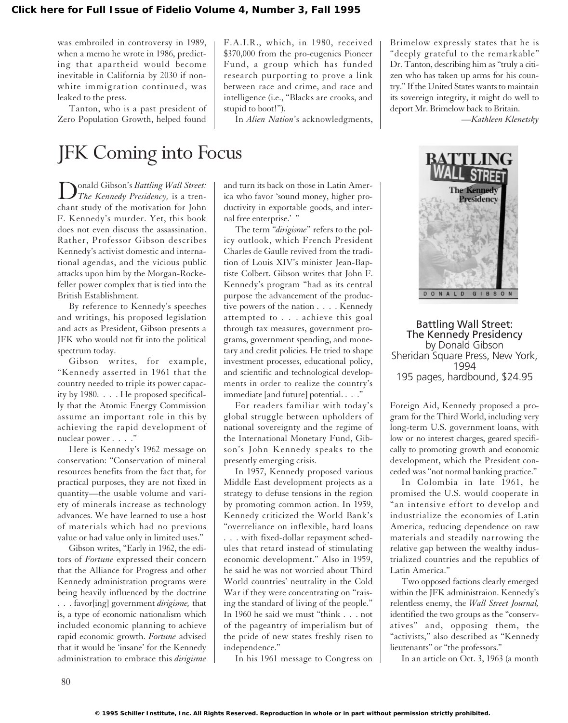was embroiled in controversy in 1989, when a memo he wrote in 1986, predicting that apartheid would become inevitable in California by 2030 if nonwhite immigration continued, was leaked to the press.

Tanton, who is a past president of Zero Population Growth, helped found

F.A.I.R., which, in 1980, received \$370,000 from the pro-eugenics Pioneer Fund, a group which has funded research purporting to prove a link between race and crime, and race and intelligence (i.e., "Blacks are crooks, and stupid to boot!").

In *Alien Nation*'s acknowledgments,

Brimelow expressly states that he is "deeply grateful to the remarkable" Dr. Tanton, describing him as "truly a citizen who has taken up arms for his country." If the United States wants to maintain its sovereign integrity, it might do well to deport Mr. Brimelow back to Britain.

*—Kathleen Klenetsky*

## JFK Coming into Focus

Donald Gibson's *Battling Wall Street: The Kennedy Presidency,* is a trenchant study of the motivation for John F. Kennedy's murder. Yet, this book does not even discuss the assassination. Rather, Professor Gibson describes Kennedy's activist domestic and international agendas, and the vicious public attacks upon him by the Morgan-Rockefeller power complex that is tied into the British Establishment.

By reference to Kennedy's speeches and writings, his proposed legislation and acts as President, Gibson presents a JFK who would not fit into the political spectrum today.

Gibson writes, for example, "Kennedy asserted in 1961 that the country needed to triple its power capacity by 1980. . . . He proposed specifically that the Atomic Energy Commission assume an important role in this by achieving the rapid development of nuclear power . . . ."

Here is Kennedy's 1962 message on conservation: "Conservation of mineral resources benefits from the fact that, for practical purposes, they are not fixed in quantity—the usable volume and variety of minerals increase as technology advances. We have learned to use a host of materials which had no previous value or had value only in limited uses."

Gibson writes, "Early in 1962, the editors of *Fortune* expressed their concern that the Alliance for Progress and other Kennedy administration programs were being heavily influenced by the doctrine . . . favor[ing] government *dirigisme,* that is, a type of economic nationalism which included economic planning to achieve rapid economic growth. *Fortune* advised that it would be 'insane' for the Kennedy administration to embrace this *dirigisme* and turn its back on those in Latin America who favor 'sound money, higher productivity in exportable goods, and internal free enterprise.' "

The term "*dirigisme*" refers to the policy outlook, which French President Charles de Gaulle revived from the tradition of Louis XIV's minister Jean-Baptiste Colbert. Gibson writes that John F. Kennedy's program "had as its central purpose the advancement of the productive powers of the nation . . . . Kennedy attempted to . . . achieve this goal through tax measures, government programs, government spending, and monetary and credit policies. He tried to shape investment processes, educational policy, and scientific and technological developments in order to realize the country's immediate [and future] potential. . . .

For readers familiar with today's global struggle between upholders of national sovereignty and the regime of the International Monetary Fund, Gibson's John Kennedy speaks to the presently emerging crisis.

In 1957, Kennedy proposed various Middle East development projects as a strategy to defuse tensions in the region by promoting common action. In 1959, Kennedy criticized the World Bank's "overreliance on inflexible, hard loans . . . with fixed-dollar repayment schedules that retard instead of stimulating economic development." Also in 1959, he said he was not worried about Third World countries' neutrality in the Cold War if they were concentrating on "raising the standard of living of the people." In 1960 he said we must "think . . . not of the pageantry of imperialism but of the pride of new states freshly risen to independence."

In his 1961 message to Congress on



Battling Wall Street: The Kennedy Presidency by Donald Gibson Sheridan Square Press, New York, 1994 195 pages, hardbound, \$24.95

Foreign Aid, Kennedy proposed a program for the Third World, including very long-term U.S. government loans, with low or no interest charges, geared specifically to promoting growth and economic development, which the President conceded was "not normal banking practice."

In Colombia in late 1961, he promised the U.S. would cooperate in "an intensive effort to develop and industrialize the economies of Latin America, reducing dependence on raw materials and steadily narrowing the relative gap between the wealthy industrialized countries and the republics of Latin America."

Two opposed factions clearly emerged within the JFK administraion. Kennedy's relentless enemy, the *Wall Street Journal,* identified the two groups as the "conservatives" and, opposing them, the "activists," also described as "Kennedy lieutenants" or "the professors."

In an article on Oct. 3, 1963 (a month